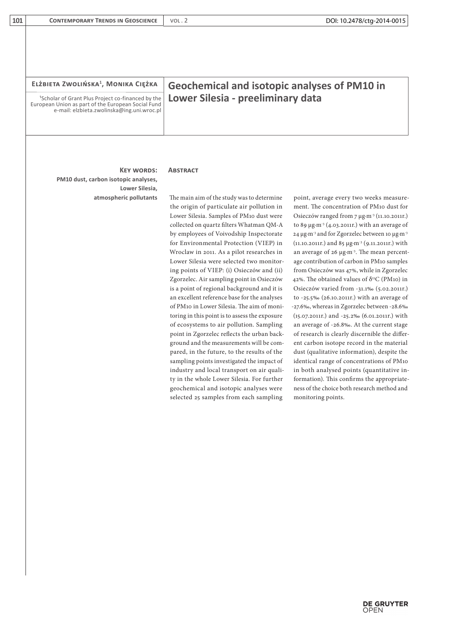| ELŻBIETA ZWOLIŃSKA <sup>1</sup> , MONIKA CIĘŻKA                                                                                                                   | <b>Geochemical and isotopic analyses of PM10 in</b>                                      |                                                                                     |
|-------------------------------------------------------------------------------------------------------------------------------------------------------------------|------------------------------------------------------------------------------------------|-------------------------------------------------------------------------------------|
| <sup>1</sup> Scholar of Grant Plus Project co-financed by the<br>European Union as part of the European Social Fund<br>e-mail: elzbieta.zwolinska@ing.uni.wroc.pl | Lower Silesia - preeliminary data                                                        |                                                                                     |
| <b>KEY WORDS:</b>                                                                                                                                                 | <b>ABSTRACT</b>                                                                          |                                                                                     |
| PM10 dust, carbon isotopic analyses,<br>Lower Silesia,<br>atmospheric pollutants                                                                                  | The main aim of the study was to determine<br>the origin of particulate air pollution in | point, average every two weeks measure-<br>ment. The concentration of PM10 dust for |

**101 CONTEMPORARY TRENDS IN GEOSCIENCE** VOL. 2

Lower Silesia. Samples of PM10 dust were collected on quartz filters Whatman QM-A by employees of Voivodship Inspectorate for Environmental Protection (VIEP) in Wroclaw in 2011. As a pilot researches in Lower Silesia were selected two monitoring points of VIEP: (i) Osieczów and (ii) Zgorzelec. Air sampling point in Osieczów is a point of regional background and it is an excellent reference base for the analyses of PM10 in Lower Silesia. The aim of monitoring in this point is to assess the exposure of ecosystems to air pollution. Sampling point in Zgorzelec reflects the urban background and the measurements will be compared, in the future, to the results of the sampling points investigated the impact of industry and local transport on air quality in the whole Lower Silesia. For further geochemical and isotopic analyses were selected 25 samples from each sampling

Osieczów ranged from 7 µg∙m-3 (11.10.2011r.) to 89 µg∙m-3 (4.03.2011r.) with an average of 24 µg∙m-3 and for Zgorzelec between 10 µg∙m-3 (11.10.2011r.) and 85 µg∙m-3 (9.11.2011r.) with an average of 26 µg∙m-3. The mean percentage contribution of carbon in PM10 samples from Osieczów was 47%, while in Zgorzelec 42%. The obtained values of  $\delta^{13}C$  (PM10) in Osieczów varied from -31.1‰ (5.02.2011r.) to -25.5‰ (26.10.2011r.) with an average of -27.6‰, whereas in Zgorzelec between -28.6‰ (15.07.2011r.) and -25.2‰ (6.01.2011r.) with an average of -26.8‰. At the current stage of research is clearly discernible the different carbon isotope record in the material dust (qualitative information), despite the identical range of concentrations of PM10 in both analysed points (quantitative information). This confirms the appropriateness of the choice both research method and monitoring points.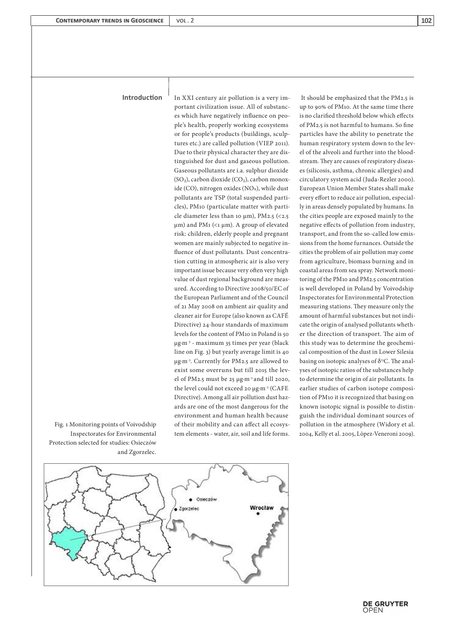## **Introduction**

In XXI century air pollution is a very important civilization issue. All of substances which have negatively influence on people's health, properly working ecosystems or for people's products (buildings, sculptures etc.) are called pollution (VIEP 2011). Due to their physical character they are distinguished for dust and gaseous pollution. Gaseous pollutants are i.a. sulphur dioxide (SO₂), carbon dioxide (CO₂), carbon monoxide (CO), nitrogen oxides (NOx), while dust pollutants are TSP (total suspended particles), PM10 (particulate matter with particle diameter less than 10  $\mu$ m), PM2.5 (<2.5) µm) and PM1 (<1 µm). A group of elevated risk: children, elderly people and pregnant women are mainly subjected to negative influence of dust pollutants. Dust concentration cutting in atmospheric air is also very important issue because very often very high value of dust regional background are measured. According to Directive 2008/50/EC of the European Parliament and of the Council of 21 May 2008 on ambient air quality and cleaner air for Europe (also known as CAFÉ Directive) 24-hour standards of maximum levels for the content of PM10 in Poland is 50 µg⋅m<sup>-3</sup> - maximum 35 times per year (black line on Fig. 3) but yearly average limit is 40 µg∙m-3. Currently for PM2.5 are allowed to exist some overruns but till 2015 the level of PM2.5 must be 25 µg∙m-3 and till 2020, the level could not exceed 20 µg∙m-3 (CAFE Directive). Among all air pollution dust hazards are one of the most dangerous for the environment and human health because of their mobility and can affect all ecosystem elements - water, air, soil and life forms.

 It should be emphasized that the PM2.5 is up to 90% of PM10. At the same time there is no clarified threshold below which effects of PM2.5 is not harmful to humans. So fine particles have the ability to penetrate the human respiratory system down to the level of the alveoli and further into the bloodstream. They are causes of respiratory diseases (silicosis, asthma, chronic allergies) and circulatory system acid (Juda-Rezler 2000). European Union Member States shall make every effort to reduce air pollution, especially in areas densely populated by humans. In the cities people are exposed mainly to the negative effects of pollution from industry, transport, and from the so-called low emissions from the home furnances. Outside the cities the problem of air pollution may come from agriculture, biomass burning and in coastal areas from sea spray. Network monitoring of the PM10 and PM2.5 concentration is well developed in Poland by Voivodship Inspectorates for Environmental Protection measuring stations. They measure only the amount of harmful substances but not indicate the origin of analysed pollutants whether the direction of transport. The aim of this study was to determine the geochemical composition of the dust in Lower Silesia basing on isotopic analyses of  $\delta^{3}C$ . The analyses of isotopic ratios of the substances help to determine the origin of air pollutants. In earlier studies of carbon isotope composition of PM10 it is recognized that basing on known isotopic signal is possible to distinguish the individual dominant sources of pollution in the atmosphere (Widory et al. 2004, Kelly et al. 2005, Lòpez-Veneroni 2009).

Fig. 1 Monitoring points of Voivodship Inspectorates for Environmental Protection selected for studies: Osieczów and Zgorzelec.

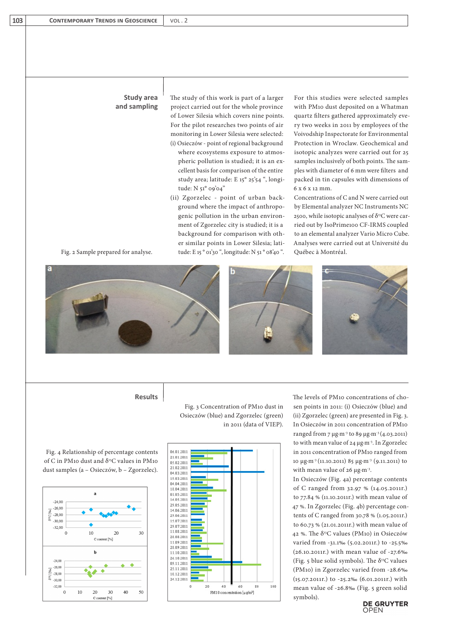## **Study area and sampling**

The study of this work is part of a larger project carried out for the whole province of Lower Silesia which covers nine points. For the pilot researches two points of air monitoring in Lower Silesia were selected: (i) Osieczów - point of regional background where ecosystems exposure to atmospheric pollution is studied; it is an excellent basis for comparison of the entire study area; latitude: E 15° 25'54 ", longitude: N 51° 09'04"

(ii) Zgorzelec - point of urban background where the impact of anthropogenic pollution in the urban environment of Zgorzelec city is studied; it is a background for comparison with other similar points in Lower Silesia; latitude: E 15 ° 01'30 ", longitude: N 51 ° 08'40 ".

For this studies were selected samples with PM10 dust deposited on a Whatman quartz filters gathered approximately every two weeks in 2011 by employees of the Voivodship Inspectorate for Environmental Protection in Wroclaw. Geochemical and isotopic analyzes were carried out for 25 samples inclusively of both points. The samples with diameter of 6 mm were filters and packed in tin capsules with dimensions of 6 x 6 x 12 mm.

Concentrations of C and N were carried out by Elemental analyzer NC Instruments NC 2500, while isotopic analyses of  $\delta^{13}$ C were carried out by IsoPrime100 CF-IRMS coupled to an elemental analyzer Vario Micro Cube. Analyses were carried out at Université du Québec à Montréal.















Fig. 3 Concentration of PM10 dust in Osieczów (blue) and Zgorzelec (green)

in 2011 (data of VIEP).

**Results** The levels of PM10 concentrations of chosen points in 2011: (i) Osieczów (blue) and (ii) Zgorzelec (green) are presented in Fig. 3. In Osieczów in 2011 concentration of PM10 ranged from 7 µg∙m-3 to 89 µg∙m-3 (4.03.2011) to with mean value of 24 µg∙m-3. In Zgorzelec in 2011 concentration of PM10 ranged from 10 µg∙m-3 (11.10.2011) 85 µg∙m-3 (9.11.2011) to with mean value of 26 µg⋅m<sup>-3</sup>.

> In Osieczów (Fig. 4a) percentage contents of C ranged from 32.97 % (14.05.2011r.) to 77.84 % (11.10.2011r.) with mean value of 47 %. In Zgorzelec (Fig. 4b) percentage contents of C ranged from 30.78 % (1.05.2011r.) to 60.73 % (21.01.2011r.) with mean value of 42 %. The  $\delta^{13}$ C values (PM10) in Osieczów varied from -31.1‰ (5.02.2011r.) to -25.5‰ (26.10.2011r.) with mean value of -27.6‰ (Fig. 5 blue solid symbols). The  $\delta^{13}$ C values (PM10) in Zgorzelec varied from -28.6‰ (15.07.2011r.) to -25.2‰ (6.01.2011r.) with mean value of -26.8‰ (Fig. 5 green solid symbols).

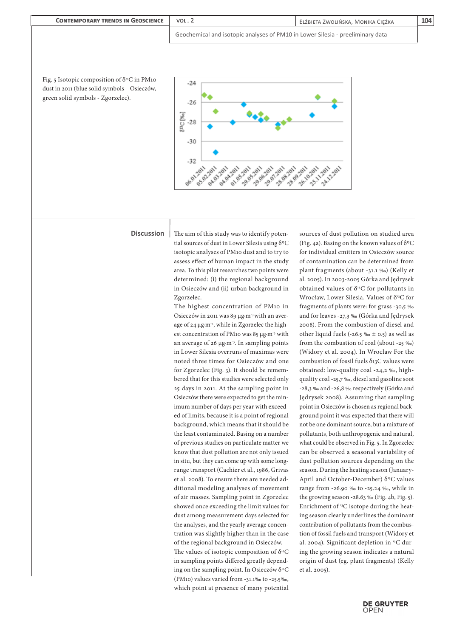

**DE GRUYTER**<br>OPEN